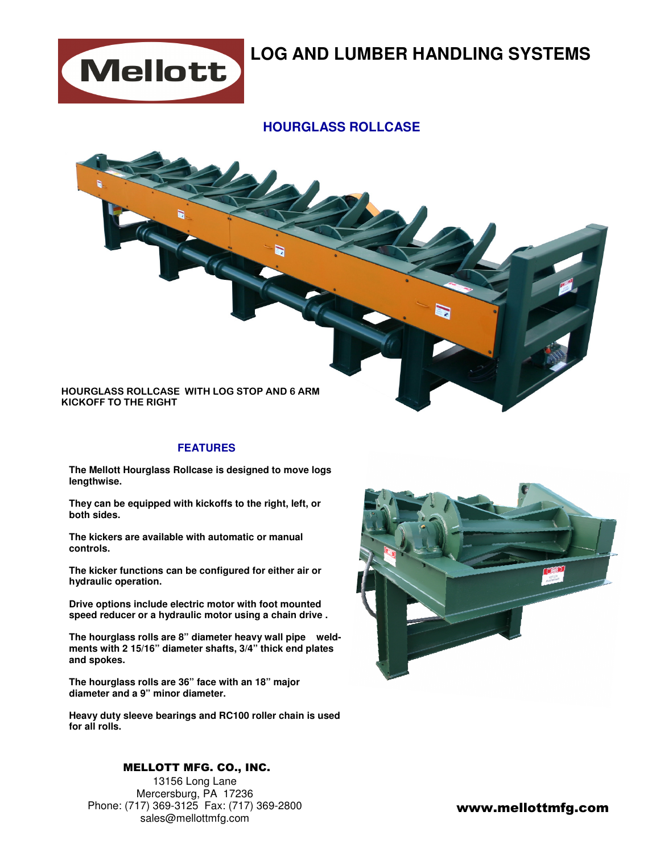

## **LOG AND LUMBER HANDLING SYSTEMS**

### **HOURGLASS ROLLCASE**



#### **FEATURES**

**The Mellott Hourglass Rollcase is designed to move logs lengthwise.** 

**They can be equipped with kickoffs to the right, left, or both sides.** 

**The kickers are available with automatic or manual controls.** 

**The kicker functions can be configured for either air or hydraulic operation.** 

**Drive options include electric motor with foot mounted speed reducer or a hydraulic motor using a chain drive .** 

**The hourglass rolls are 8" diameter heavy wall pipe weldments with 2 15/16" diameter shafts, 3/4" thick end plates and spokes.** 

**The hourglass rolls are 36" face with an 18" major diameter and a 9" minor diameter.** 

**Heavy duty sleeve bearings and RC100 roller chain is used for all rolls.** 

### MELLOTT MFG. CO., INC.

13156 Long Lane Mercersburg, PA 17236 Phone: (717) 369-3125 Fax: (717) 369-2800 sales@mellottmfg.com



www.mellottmfg.com